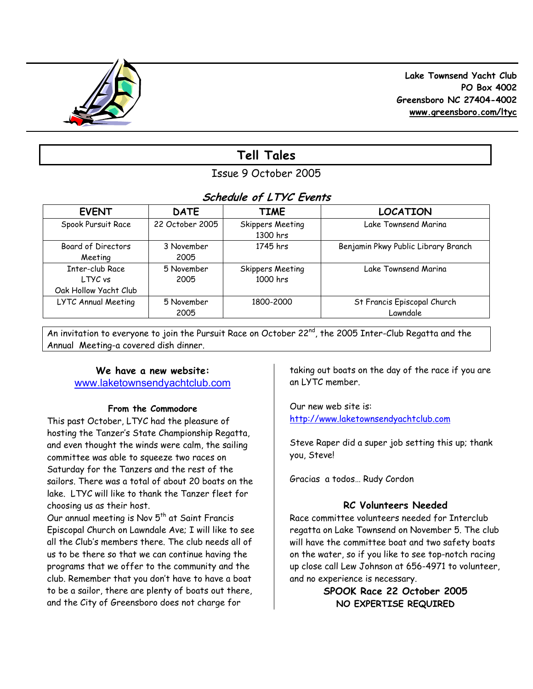

 **Lake Townsend Yacht Club PO Box 4002 Greensboro NC 27404-4002 www.greensboro.com/ltyc** 

# **Tell Tales**

Issue 9 October 2005

# **Schedule of LTYC Events**

| <b>EVENT</b>          | <b>DATE</b>     | <b>TIME</b>                         | <b>LOCATION</b>                     |
|-----------------------|-----------------|-------------------------------------|-------------------------------------|
| Spook Pursuit Race    | 22 October 2005 | <b>Skippers Meeting</b><br>1300 hrs | Lake Townsend Marina                |
| Board of Directors    | 3 November      | 1745 hrs                            | Benjamin Pkwy Public Library Branch |
| Meeting               | 2005            |                                     |                                     |
| Inter-club Race       | 5 November      | <b>Skippers Meeting</b>             | Lake Townsend Marina                |
| LTYC vs               | 2005            | 1000 hrs                            |                                     |
| Oak Hollow Yacht Club |                 |                                     |                                     |
| LYTC Annual Meeting   | 5 November      | 1800-2000                           | St Francis Episcopal Church         |
|                       | 2005            |                                     | Lawndale                            |

An invitation to everyone to join the Pursuit Race on October 22<sup>nd</sup>, the 2005 Inter-Club Regatta and the Annual Meeting-a covered dish dinner.

## **We have a new website:**  www.laketownsendyachtclub.com

## **From the Commodore**

This past October, LTYC had the pleasure of hosting the Tanzer's State Championship Regatta, and even thought the winds were calm, the sailing committee was able to squeeze two races on Saturday for the Tanzers and the rest of the sailors. There was a total of about 20 boats on the lake. LTYC will like to thank the Tanzer fleet for choosing us as their host.

Our annual meeting is Nov  $5<sup>th</sup>$  at Saint Francis Episcopal Church on Lawndale Ave; I will like to see all the Club's members there. The club needs all of us to be there so that we can continue having the programs that we offer to the community and the club. Remember that you don't have to have a boat to be a sailor, there are plenty of boats out there, and the City of Greensboro does not charge for

taking out boats on the day of the race if you are an LYTC member.

Our new web site is: http://www.laketownsendyachtclub.com

Steve Raper did a super job setting this up; thank you, Steve!

Gracias a todos… Rudy Cordon

## **RC Volunteers Needed**

Race committee volunteers needed for Interclub regatta on Lake Townsend on November 5. The club will have the committee boat and two safety boats on the water, so if you like to see top-notch racing up close call Lew Johnson at 656-4971 to volunteer, and no experience is necessary.

> **SPOOK Race 22 October 2005 NO EXPERTISE REQUIRED**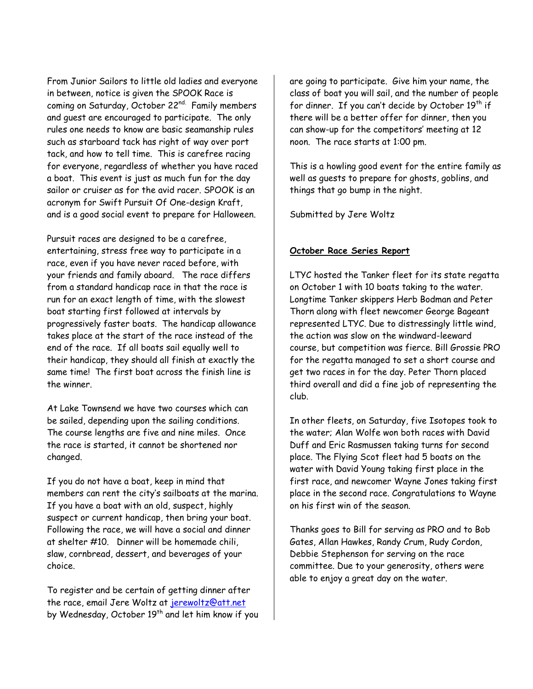From Junior Sailors to little old ladies and everyone in between, notice is given the SPOOK Race is coming on Saturday, October 22<sup>nd.</sup> Family members and guest are encouraged to participate. The only rules one needs to know are basic seamanship rules such as starboard tack has right of way over port tack, and how to tell time. This is carefree racing for everyone, regardless of whether you have raced a boat. This event is just as much fun for the day sailor or cruiser as for the avid racer. SPOOK is an acronym for Swift Pursuit Of One-design Kraft, and is a good social event to prepare for Halloween.

Pursuit races are designed to be a carefree, entertaining, stress free way to participate in a race, even if you have never raced before, with your friends and family aboard. The race differs from a standard handicap race in that the race is run for an exact length of time, with the slowest boat starting first followed at intervals by progressively faster boats. The handicap allowance takes place at the start of the race instead of the end of the race. If all boats sail equally well to their handicap, they should all finish at exactly the same time! The first boat across the finish line is the winner.

At Lake Townsend we have two courses which can be sailed, depending upon the sailing conditions. The course lengths are five and nine miles. Once the race is started, it cannot be shortened nor changed.

If you do not have a boat, keep in mind that members can rent the city's sailboats at the marina. If you have a boat with an old, suspect, highly suspect or current handicap, then bring your boat. Following the race, we will have a social and dinner at shelter #10. Dinner will be homemade chili, slaw, cornbread, dessert, and beverages of your choice.

To register and be certain of getting dinner after the race, email Jere Woltz at jerewoltz@att.net by Wednesday, October 19th and let him know if you are going to participate. Give him your name, the class of boat you will sail, and the number of people for dinner. If you can't decide by October  $19<sup>th</sup>$  if there will be a better offer for dinner, then you can show-up for the competitors' meeting at 12 noon. The race starts at 1:00 pm.

This is a howling good event for the entire family as well as guests to prepare for ghosts, goblins, and things that go bump in the night.

Submitted by Jere Woltz

## **October Race Series Report**

LTYC hosted the Tanker fleet for its state regatta on October 1 with 10 boats taking to the water. Longtime Tanker skippers Herb Bodman and Peter Thorn along with fleet newcomer George Bageant represented LTYC. Due to distressingly little wind, the action was slow on the windward-leeward course, but competition was fierce. Bill Grossie PRO for the regatta managed to set a short course and get two races in for the day. Peter Thorn placed third overall and did a fine job of representing the club.

In other fleets, on Saturday, five Isotopes took to the water; Alan Wolfe won both races with David Duff and Eric Rasmussen taking turns for second place. The Flying Scot fleet had 5 boats on the water with David Young taking first place in the first race, and newcomer Wayne Jones taking first place in the second race. Congratulations to Wayne on his first win of the season.

Thanks goes to Bill for serving as PRO and to Bob Gates, Allan Hawkes, Randy Crum, Rudy Cordon, Debbie Stephenson for serving on the race committee. Due to your generosity, others were able to enjoy a great day on the water.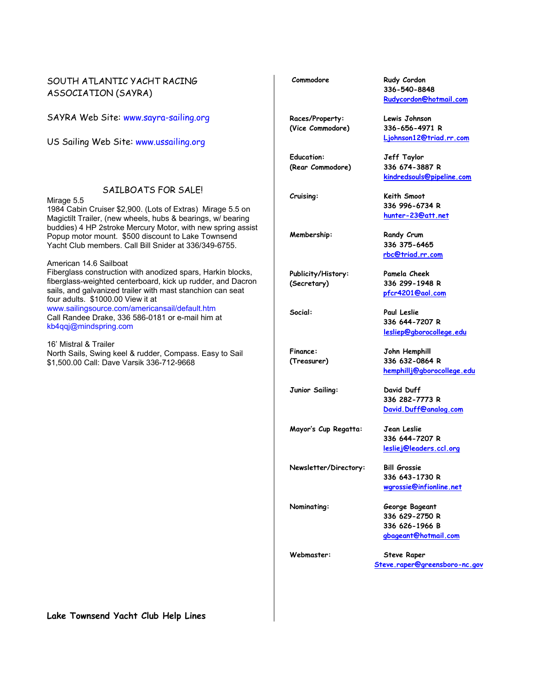#### SOUTH ATLANTIC YACHT RACING ASSOCIATION (SAYRA)

SAYRA Web Site: www.sayra-sailing.org

US Sailing Web Site: www.ussailing.org

#### SAILBOATS FOR SALE!

Mirage 5.5

1984 Cabin Cruiser \$2,900. (Lots of Extras) Mirage 5.5 on Magictilt Trailer, (new wheels, hubs & bearings, w/ bearing buddies) 4 HP 2stroke Mercury Motor, with new spring assist Popup motor mount. \$500 discount to Lake Townsend Yacht Club members. Call Bill Snider at 336/349-6755.

American 14.6 Sailboat Fiberglass construction with anodized spars, Harkin blocks, fiberglass-weighted centerboard, kick up rudder, and Dacron sails, and galvanized trailer with mast stanchion can seat four adults. \$1000.00 View it at

www.sailingsource.com/americansail/default.htm Call Randee Drake, 336 586-0181 or e-mail him at kb4qqj@mindspring.com

16' Mistral & Trailer North Sails, Swing keel & rudder, Compass. Easy to Sail \$1,500.00 Call: Dave Varsik 336-712-9668

**Lake Townsend Yacht Club Help Lines** 

**Races/Property: Lewis Johnson (Vice Commodore) 336-656-4971 R** 

**Education: Jeff Taylor (Rear Commodore) 336 674-3887 R** 

**Publicity/History: Pamela Cheek (Secretary) 336 299-1948 R** 

**Junior Sailing: David Duff** 

**Mayor's Cup Regatta: Jean Leslie** 

**Newsletter/Directory: Bill Grossie** 

**Nominating: George Bageant 336 629-2750 R 336 626-1966 B gbageant@hotmail.com** 

**Webmaster: Steve Raper Steve.raper@greensboro-nc.gov** 

**Commodore Rudy Cordon 336-540-8848 Rudycordon@hotmail.com**

 **Ljohnson12@triad.rr.com**

 **kindredsouls@pipeline.com**

**Cruising: Keith Smoot 336 996-6734 R hunter-23@att.net** 

Membership: Randy Crum  **336 375-6465 rbc@triad.rr.com** 

 **pfcr4201@aol.com** 

**Social: Paul Leslie 336 644-7207 R lesliep@gborocollege.edu** 

**Finance: John Hemphill (Treasurer) 336 632-0864 R hemphillj@gborocollege.edu**

> **336 282-7773 R David.Duff@analog.com**

 **336 644-7207 R lesliej@leaders.ccl.org**

 **336 643-1730 R wgrossie@infionline.net**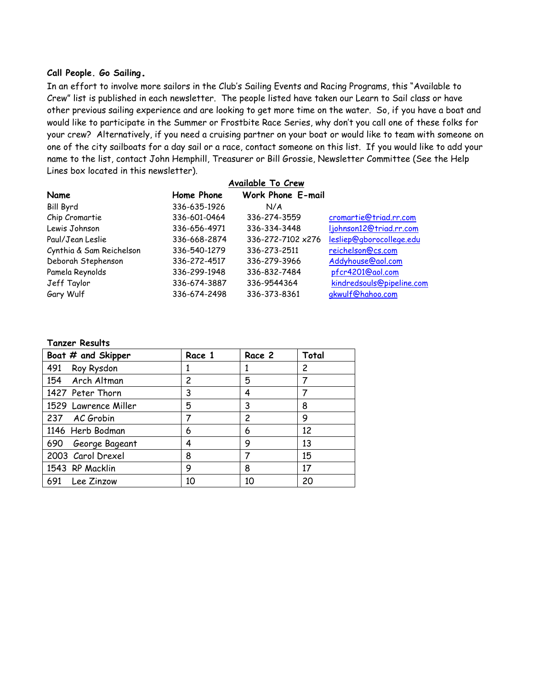#### **Call People. Go Sailing.**

In an effort to involve more sailors in the Club's Sailing Events and Racing Programs, this "Available to Crew" list is published in each newsletter. The people listed have taken our Learn to Sail class or have other previous sailing experience and are looking to get more time on the water. So, if you have a boat and would like to participate in the Summer or Frostbite Race Series, why don't you call one of these folks for your crew? Alternatively, if you need a cruising partner on your boat or would like to team with someone on one of the city sailboats for a day sail or a race, contact someone on this list. If you would like to add your name to the list, contact John Hemphill, Treasurer or Bill Grossie, Newsletter Committee (See the Help Lines box located in this newsletter).

|                          | Available To Crew |                          |                           |  |
|--------------------------|-------------------|--------------------------|---------------------------|--|
| Name                     | Home Phone        | <b>Work Phone E-mail</b> |                           |  |
| <b>Bill Byrd</b>         | 336-635-1926      | N/A                      |                           |  |
| Chip Cromartie           | 336-601-0464      | 336-274-3559             | cromartie@triad.rr.com    |  |
| Lewis Johnson            | 336-656-4971      | 336-334-3448             | ljohnson12@triad.rr.com   |  |
| Paul/Jean Leslie         | 336-668-2874      | 336-272-7102 x276        | lesliep@gborocollege.edu  |  |
| Cynthia & Sam Reichelson | 336-540-1279      | 336-273-2511             | reichelson@cs.com         |  |
| Deborah Stephenson       | 336-272-4517      | 336-279-3966             | Addyhouse@aol.com         |  |
| Pamela Reynolds          | 336-299-1948      | 336-832-7484             | pfcr4201@aol.com          |  |
| Jeff Taylor              | 336-674-3887      | 336-9544364              | kindredsouls@pipeline.com |  |
| Gary Wulf                | 336-674-2498      | 336-373-8361             | gkwulf@hahoo.com          |  |

#### **Tanzer Results**

| Boat # and Skipper   | Race 1 | Race 2 | Total |
|----------------------|--------|--------|-------|
| 491<br>Roy Rysdon    |        |        | 2     |
| 154 Arch Altman      | 2      | 5      |       |
| 1427 Peter Thorn     | 3      | 4      |       |
| 1529 Lawrence Miller | 5      | 3      | 8     |
| 237 AC Grobin        |        | 2      | 9     |
| 1146 Herb Bodman     | 6      | 6      | 12    |
| 690 George Bageant   | 4      | 9      | 13    |
| 2003 Carol Drexel    | 8      |        | 15    |
| 1543 RP Macklin      | 9      | 8      | 17    |
| 691 Lee Zinzow       | 10     | 10     | 20    |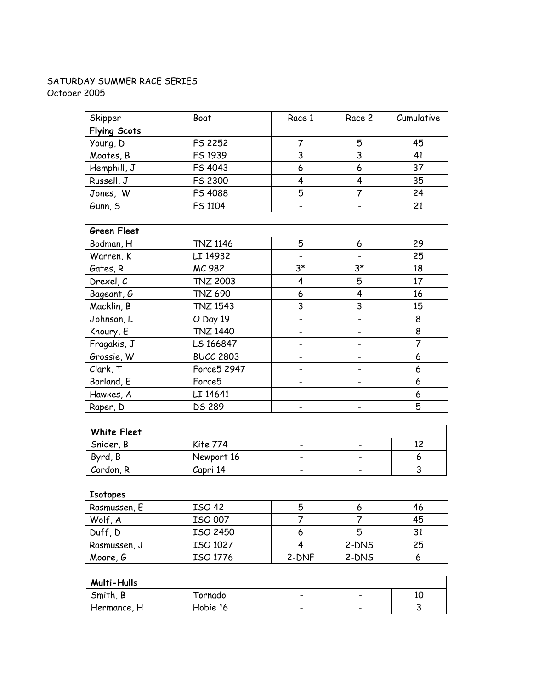## SATURDAY SUMMER RACE SERIES October 2005

| Skipper             | Boat    | Race 1 | Race 2 | Cumulative |
|---------------------|---------|--------|--------|------------|
| <b>Flying Scots</b> |         |        |        |            |
| Young, D            | FS 2252 |        | 5      | 45         |
| Moates, B           | FS 1939 |        |        | 41         |
| Hemphill, J         | FS 4043 | 6      | 6      | 37         |
| Russell, J          | FS 2300 |        |        | 35         |
| Jones, W            | FS 4088 | 5      |        | 24         |
| Gunn, S             | FS 1104 |        |        | 21         |

| <b>Green Fleet</b> |                    |      |      |    |
|--------------------|--------------------|------|------|----|
| Bodman, H          | <b>TNZ 1146</b>    | 5    | 6    | 29 |
| Warren, K          | LI 14932           |      |      | 25 |
| Gates, R           | MC 982             | $3*$ | $3*$ | 18 |
| Drexel, C          | <b>TNZ 2003</b>    | 4    | 5    | 17 |
| Bageant, G         | <b>TNZ 690</b>     | 6    | 4    | 16 |
| Macklin, B         | <b>TNZ 1543</b>    | 3    | 3    | 15 |
| Johnson, L         | O Day 19           |      |      | 8  |
| Khoury, E          | <b>TNZ 1440</b>    |      |      | 8  |
| Fragakis, J        | LS 166847          |      |      | 7  |
| Grossie, W         | <b>BUCC 2803</b>   |      |      | 6  |
| Clark, T           | Force5 2947        |      |      | 6  |
| Borland, E         | Force <sub>5</sub> |      |      | 6  |
| Hawkes, A          | LI 14641           |      |      | 6  |
| Raper, D           | <b>DS 289</b>      |      |      | 5  |

| <b>White Fleet</b> |            |                                                                                                                                                                                                                                                                                                                                                               |                          |  |
|--------------------|------------|---------------------------------------------------------------------------------------------------------------------------------------------------------------------------------------------------------------------------------------------------------------------------------------------------------------------------------------------------------------|--------------------------|--|
| Snider, B          | Kite 774   | $\hskip1.6pt\hskip1.6pt\hskip1.6pt\hskip1.6pt\hskip1.6pt\hskip1.6pt\hskip1.6pt\hskip1.6pt\hskip1.6pt\hskip1.6pt\hskip1.6pt\hskip1.6pt\hskip1.6pt\hskip1.6pt\hskip1.6pt\hskip1.6pt\hskip1.6pt$                                                                                                                                                                 | $\overline{\phantom{0}}$ |  |
| Byrd, B            | Newport 16 | $\hskip1.6pt\hskip1.6pt\hskip1.6pt\hskip1.6pt\hskip1.6pt\hskip1.6pt\hskip1.6pt\hskip1.6pt\hskip1.6pt\hskip1.6pt\hskip1.6pt\hskip1.6pt\hskip1.6pt\hskip1.6pt\hskip1.6pt\hskip1.6pt\hskip1.6pt\hskip1.6pt\hskip1.6pt\hskip1.6pt\hskip1.6pt\hskip1.6pt\hskip1.6pt\hskip1.6pt\hskip1.6pt\hskip1.6pt\hskip1.6pt\hskip1.6pt\hskip1.6pt\hskip1.6pt\hskip1.6pt\hskip$ | $\overline{\phantom{0}}$ |  |
| Cordon, R          | Capri 14   | $\hskip1.6pt\hskip1.6pt\hskip1.6pt\hskip1.6pt\hskip1.6pt\hskip1.6pt\hskip1.6pt\hskip1.6pt\hskip1.6pt\hskip1.6pt\hskip1.6pt\hskip1.6pt\hskip1.6pt\hskip1.6pt\hskip1.6pt\hskip1.6pt\hskip1.6pt$                                                                                                                                                                 | $\overline{\phantom{0}}$ |  |

| Isotopes     |               |       |       |     |
|--------------|---------------|-------|-------|-----|
| Rasmussen, E | <b>ISO 42</b> | 5     | o     | 46  |
| Wolf, A      | ISO 007       |       |       | 45  |
| Duff, D      | ISO 2450      | o     | 5     | -31 |
| Rasmussen, J | ISO 1027      |       | 2-DNS | 25  |
| Moore, G     | ISO 1776      | 2-DNF | 2-DNS |     |

| <b>Multi-Hulls</b> |          |                          |                          |    |
|--------------------|----------|--------------------------|--------------------------|----|
| Smith, B           | Tornado  | $\overline{\phantom{0}}$ | $\overline{\phantom{0}}$ | 10 |
| Hermance, H        | Hobie 16 | $\overline{\phantom{0}}$ | $\overline{\phantom{0}}$ |    |